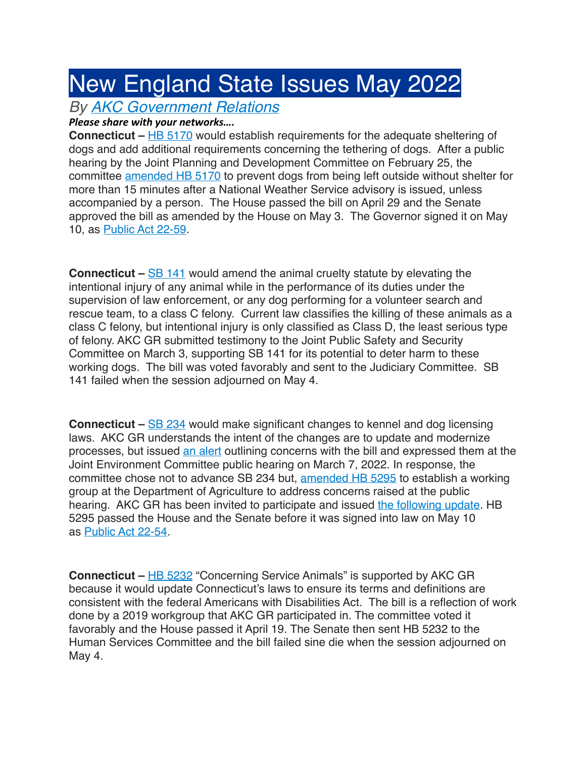## New England State Issues May 2022

## *By [AKC Government Relations](https://www.akc.org/author/government-relations-department/)*

## *Please share with your networks....*

**Connecticut – [HB 5170](https://s3.amazonaws.com/fn-document-service/file-by-sha384/74cfea2ae3d3fb39779a8160bc54caebf89ef1529e5b0fa3d80449d299a3034d6057922cdc03850835ee55482b9c42d5)** would establish requirements for the adequate sheltering of dogs and add additional requirements concerning the tethering of dogs. After a public hearing by the Joint Planning and Development Committee on February 25, the committee [amended HB 5170](https://nam04.safelinks.protection.outlook.com/?url=https%3A%2F%2Fwww.cga.ct.gov%2F2022%2Fpddata%2Fsl%2F2022HB-05170-R00LCO03071PD-SL.PDF&data=04%7C01%7Cemily.holmes%40akc.org%7C3e3c594b45ea4e915e2b08da05ddcd56%7Cdebe5afe05c34246a4c038ab75946c0f%7C0%7C1%7C637828747462581481%7CUnknown%7CTWFpbGZsb3d8eyJWIjoiMC4wLjAwMDAiLCJQIjoiV2luMzIiLCJBTiI6Ik1haWwiLCJXVCI6Mn0%3D%7C3000&sdata=LG1m5wxbe4m0LHwBP8V5o3ZQBTCEroqkVTlfN%2B44d44%3D&reserved=0) to prevent dogs from being left outside without shelter for more than 15 minutes after a National Weather Service advisory is issued, unless accompanied by a person. The House passed the bill on April 29 and the Senate approved the bill as amended by the House on May 3. The Governor signed it on May 10, as [Public Act 22-59.](https://www.cga.ct.gov/2022/ACT/PA/PDF/2022PA-00059-R00HB-05170-PA.PDF)

**Connecticut –** [SB 141](https://s3.amazonaws.com/fn-document-service/file-by-sha384/0fc1020bf7df48133bbf57cd795f7a05940fe6091844bb6d2578c91465ebcba8698d7722b94caab6283f1506e6880e3e) would amend the animal cruelty statute by elevating the intentional injury of any animal while in the performance of its duties under the supervision of law enforcement, or any dog performing for a volunteer search and rescue team, to a class C felony. Current law classifies the killing of these animals as a class C felony, but intentional injury is only classified as Class D, the least serious type of felony. AKC GR submitted testimony to the Joint Public Safety and Security Committee on March 3, supporting SB 141 for its potential to deter harm to these working dogs. The bill was voted favorably and sent to the Judiciary Committee. SB 141 failed when the session adjourned on May 4.

**Connecticut –** [SB 234](https://s3.amazonaws.com/fn-document-service/file-by-sha384/3b514acd69ffc2385225b1c8cd2ac307aa0b6b3997d0cc9d7a535664a0d6fb55a79906c05ea227844e7ac73bb88898c4) would make significant changes to kennel and dog licensing laws. AKC GR understands the intent of the changes are to update and modernize processes, but issued [an alert](https://www.akc.org/legislative-alerts/ct-alert-hearing-march-7th-concerning-kennel-dog-licenses/) outlining concerns with the bill and expressed them at the Joint Environment Committee public hearing on March 7, 2022. In response, the committee chose not to advance SB 234 but, [amended HB 5295](https://www.cga.ct.gov/2022/envdata/sl/2022HB-05295-R00LCO04067ENV-SL.PDF) to establish a working group at the Department of Agriculture to address concerns raised at the public hearing. AKC GR has been invited to participate and issued [the following update.](https://www.akc.org/legislative-alerts/ct-update-kennel-dog-license-changes-discussed/) HB 5295 passed the House and the Senate before it was signed into law on May 10 as [Public Act 22-54.](https://s3.amazonaws.com/fn-document-service/file-by-sha384/e34be1b08341af0325ed60a82a6b6211a6f8710158ab464d605e5a8229950caad201631162bb56bad7ca108e575a6986)

**Connecticut – [HB 5232](https://s3.amazonaws.com/fn-document-service/file-by-sha384/6df7abcfe5b50920a284bf3fcc8130808c5ed2c1098e85e776b7cd2fbd14e5ddb2cea70dfe8eddd4edc4bff9890cce9d) "Concerning Service Animals" is supported by AKC GR** because it would update Connecticut's laws to ensure its terms and definitions are consistent with the federal Americans with Disabilities Act. The bill is a reflection of work done by a 2019 workgroup that AKC GR participated in. The committee voted it favorably and the House passed it April 19. The Senate then sent HB 5232 to the Human Services Committee and the bill failed sine die when the session adjourned on May 4.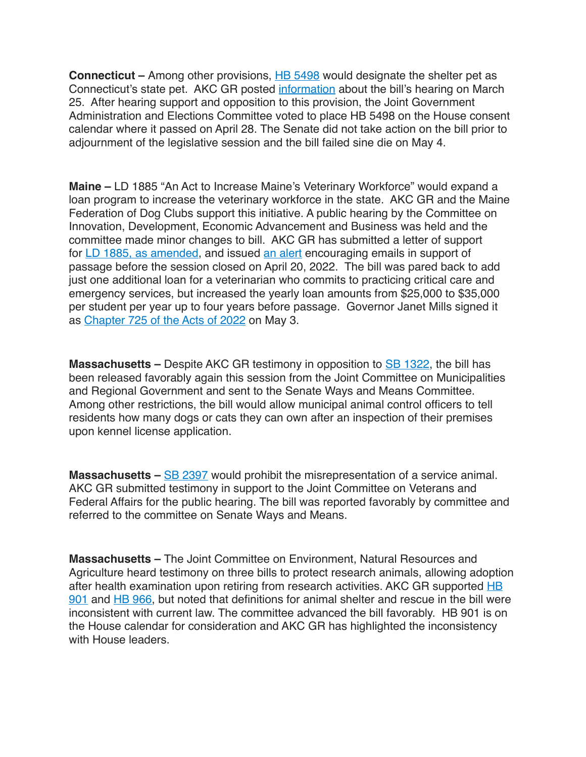**Connecticut** – Among other provisions, [HB 5498](https://s3.amazonaws.com/fn-document-service/file-by-sha384/2adb5048724baeccc1cea68191a946859d973805211310bf8a377b66fca754a82cc92ab3570d315369c16f1b860b9ba8) would designate the shelter pet as Connecticut's state pet. AKC GR posted [information](https://www.akc.org/legislative-alerts/ct-info-hearing-march-25th-making-designation-shelter-pet-cts-state-pet/) about the bill's hearing on March 25. After hearing support and opposition to this provision, the Joint Government Administration and Elections Committee voted to place HB 5498 on the House consent calendar where it passed on April 28. The Senate did not take action on the bill prior to adjournment of the legislative session and the bill failed sine die on May 4.

**Maine –** LD 1885 "An Act to Increase Maine's Veterinary Workforce" would expand a loan program to increase the veterinary workforce in the state. AKC GR and the Maine Federation of Dog Clubs support this initiative. A public hearing by the Committee on Innovation, Development, Economic Advancement and Business was held and the committee made minor changes to bill. AKC GR has submitted a letter of support for [LD 1885, as amended](https://legislature.maine.gov/testimony/resources/IDEA20220125@OPLA132913109085148468.pdf), and issued [an alert](https://www.akc.org/legislative-alerts/update-bill-increasing-veterinary-workforce-needs-help/) encouraging emails in support of passage before the session closed on April 20, 2022. The bill was pared back to add just one additional loan for a veterinarian who commits to practicing critical care and emergency services, but increased the yearly loan amounts from \$25,000 to \$35,000 per student per year up to four years before passage. Governor Janet Mills signed it as [Chapter 725 of the Acts of 2022](https://s3.amazonaws.com/fn-document-service/file-by-sha384/9023135232d6dfb26bcd82ef393075073e4aa45c62dad178d67bfe58843c6fe98bcca3d7eef6a369b131c04d94739aa8) on May 3.

**Massachusetts –** Despite AKC GR testimony in opposition to [SB 1322,](https://s3.amazonaws.com/fn-document-service/file-by-sha384/cae0e7d0ea90a828f9a8ea489400f2af9a1270aac08a2ca9cad04c52a21bca4fddcac3cc4d0b203444dd9fd5cc88538c) the bill has been released favorably again this session from the Joint Committee on Municipalities and Regional Government and sent to the Senate Ways and Means Committee. Among other restrictions, the bill would allow municipal animal control officers to tell residents how many dogs or cats they can own after an inspection of their premises upon kennel license application.

**Massachusetts –** [SB 2397](https://s3.amazonaws.com/fn-document-service/file-by-sha384/59530d8df756c5e163974d580a79f1ce15245e44f6076ddefd533ddeedc8261a4c1a7425dab3f29a572ca4f7d8994353) would prohibit the misrepresentation of a service animal. AKC GR submitted testimony in support to the Joint Committee on Veterans and Federal Affairs for the public hearing. The bill was reported favorably by committee and referred to the committee on Senate Ways and Means.

**Massachusetts –** The Joint Committee on Environment, Natural Resources and Agriculture heard testimony on three bills to protect research animals, allowing adoption after health examination upon retiring from research activities. AKC GR supported HB [901](https://s3.amazonaws.com/fn-document-service/file-by-sha384/b878cf6ed89b4a9e5b1d708feb7d6413525c2c725d4d16c2e335327eb2fe4ebe12626d9fe28afc580ccee5aa856b7a4b) and [HB 966,](https://s3.amazonaws.com/fn-document-service/file-by-sha384/662ca467e54f378bb8d9cc88c77de8638157d3bf7f9c6af2208a07a392bb4e926294d2f77d4a84186c9b6e0c79d53430) but noted that definitions for animal shelter and rescue in the bill were inconsistent with current law. The committee advanced the bill favorably. HB 901 is on the House calendar for consideration and AKC GR has highlighted the inconsistency with House leaders.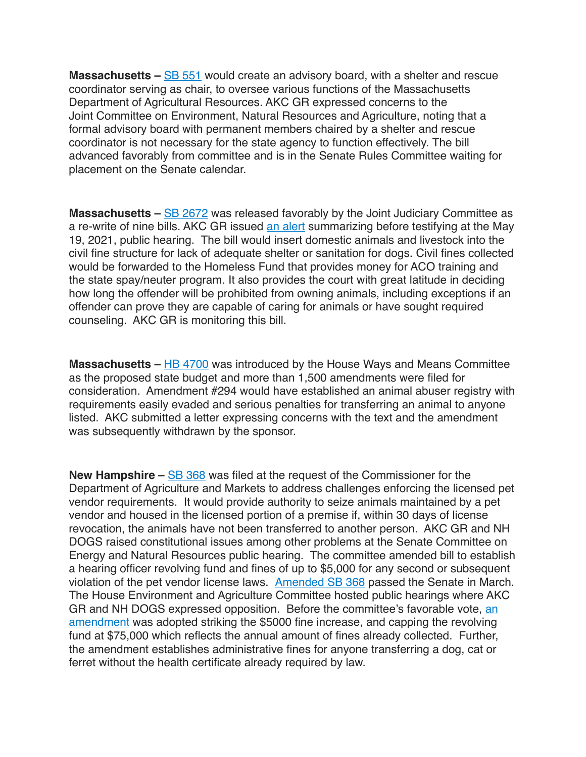**Massachusetts –** [SB 551](https://s3.amazonaws.com/fn-document-service/file-by-sha384/283cfe4855e8fdfd72547ad1623f606e301bcaceaea41f02209586ca6e2f62b702738c58086a5d741cbf7377646a5028) would create an advisory board, with a shelter and rescue coordinator serving as chair, to oversee various functions of the Massachusetts Department of Agricultural Resources. AKC GR expressed concerns to the Joint Committee on Environment, Natural Resources and Agriculture, noting that a formal advisory board with permanent members chaired by a shelter and rescue coordinator is not necessary for the state agency to function effectively. The bill advanced favorably from committee and is in the Senate Rules Committee waiting for placement on the Senate calendar.

**Massachusetts** – **[SB 2672](https://s3.amazonaws.com/fn-document-service/file-by-sha384/477bee506affd2d814cf0c27769264b5ae18ff3cde98e1718eafb4b3abb1a6303ebaec889bd3d037408767c756feaf3e)** was released favorably by the Joint Judiciary Committee as a re-write of nine bills. AKC GR issued [an alert](https://www.akc.org/legislative-alerts/ma-action-alert-contact-joint-judiciary-committee-dog-related-bills-hearing-wednesday-may-19/) summarizing before testifying at the May 19, 2021, public hearing. The bill would insert domestic animals and livestock into the civil fine structure for lack of adequate shelter or sanitation for dogs. Civil fines collected would be forwarded to the Homeless Fund that provides money for ACO training and the state spay/neuter program. It also provides the court with great latitude in deciding how long the offender will be prohibited from owning animals, including exceptions if an offender can prove they are capable of caring for animals or have sought required counseling. AKC GR is monitoring this bill.

**Massachusetts** – [HB 4700](https://s3.amazonaws.com/fn-document-service/file-by-sha384/4d8879bf4f16533270cad130d3be63ec6803995e2439a413e8612e037f9aa26116338b12d978741463275a9fae1cdd6e) was introduced by the House Ways and Means Committee as the proposed state budget and more than 1,500 amendments were filed for consideration. Amendment #294 would have established an animal abuser registry with requirements easily evaded and serious penalties for transferring an animal to anyone listed. AKC submitted a letter expressing concerns with the text and the amendment was subsequently withdrawn by the sponsor.

**New Hampshire –** [SB 368](https://s3.amazonaws.com/fn-document-service/file-by-sha384/55ce35e4c4579c175feca852060a5546018af1668fa55a8ad5b185e09c1295332b14055ac0a2adb706b15c7eb1f28e25) was filed at the request of the Commissioner for the Department of Agriculture and Markets to address challenges enforcing the licensed pet vendor requirements. It would provide authority to seize animals maintained by a pet vendor and housed in the licensed portion of a premise if, within 30 days of license revocation, the animals have not been transferred to another person. AKC GR and NH DOGS raised constitutional issues among other problems at the Senate Committee on Energy and Natural Resources public hearing. The committee amended bill to establish a hearing officer revolving fund and fines of up to \$5,000 for any second or subsequent violation of the pet vendor license laws. [Amended SB 368](http://www.gencourt.state.nh.us/bill_status/legacy/bs2016/billtext.aspx?sy=2022&txtFormat=amend&id=2022-1108S) passed the Senate in March. The House Environment and Agriculture Committee hosted public hearings where AKC GR and NH DOGS expressed opposition. Before the committee's favorable vote, an [amendment](http://www.gencourt.state.nh.us/bill_status/legacy/bs2016/billtext.aspx?sy=2022&txtFormat=amend&id=2022-1780H) was adopted striking the \$5000 fine increase, and capping the revolving fund at \$75,000 which reflects the annual amount of fines already collected. Further, the amendment establishes administrative fines for anyone transferring a dog, cat or ferret without the health certificate already required by law.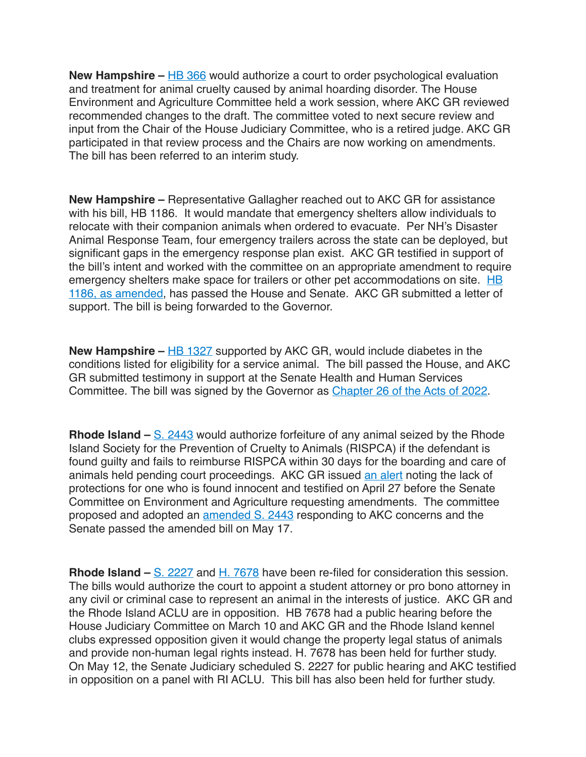**New Hampshire –** [HB 366](https://www.cqstatetrack.com/texis/redir?id=5ffab7ba1c) would authorize a court to order psychological evaluation and treatment for animal cruelty caused by animal hoarding disorder. The House Environment and Agriculture Committee held a work session, where AKC GR reviewed recommended changes to the draft. The committee voted to next secure review and input from the Chair of the House Judiciary Committee, who is a retired judge. AKC GR participated in that review process and the Chairs are now working on amendments. The bill has been referred to an interim study.

**New Hampshire –** Representative Gallagher reached out to AKC GR for assistance with his bill, HB 1186. It would mandate that emergency shelters allow individuals to relocate with their companion animals when ordered to evacuate. Per NH's Disaster Animal Response Team, four emergency trailers across the state can be deployed, but significant gaps in the emergency response plan exist. AKC GR testified in support of the bill's intent and worked with the committee on an appropriate amendment to require emergency shelters make space for trailers or other pet accommodations on site. HB [1186, as amended,](http://www.gencourt.state.nh.us/bill_status/legacy/bs2016/billtext.aspx?sy=2022&txtFormat=amend&id=2022-0727H) has passed the House and Senate. AKC GR submitted a letter of support. The bill is being forwarded to the Governor.

**New Hampshire** – **[HB 1327](https://s3.amazonaws.com/fn-document-service/file-by-sha384/4fbda720f17c32247c2ffd669f7fcd6da98b17e089f03626cb5656ccd55ec7399e1b4bf3885fff4453822a54ea251adf)** supported by AKC GR, would include diabetes in the conditions listed for eligibility for a service animal. The bill passed the House, and AKC GR submitted testimony in support at the Senate Health and Human Services Committee. The bill was signed by the Governor as [Chapter 26 of the Acts of 2022](http://www.gencourt.state.nh.us/bill_status/legacy/bs2016/billText.aspx?sy=2022&id=1528&txtFormat=html).

**Rhode Island –** [S. 2443](https://s3.amazonaws.com/fn-document-service/file-by-sha384/1d81e6e817267782417a47baf00872443d3e659d678f2eaac491341b86bec1aff5ada39bce8bc13ab79885b799190f5c) would authorize forfeiture of any animal seized by the Rhode Island Society for the Prevention of Cruelty to Animals (RISPCA) if the defendant is found guilty and fails to reimburse RISPCA within 30 days for the boarding and care of animals held pending court proceedings. AKC GR issued [an alert](https://www.akc.org/legislative-alerts/rhode-island-action-alert-cost-care-forfeit-animals-bill-heard-april-27-2022-request-amendments/) noting the lack of protections for one who is found innocent and testified on April 27 before the Senate Committee on Environment and Agriculture requesting amendments. The committee proposed and adopted an [amended S. 2443](http://webserver.rilegislature.gov/BillText22/SenateText22/S2443A.pdf) responding to AKC concerns and the Senate passed the amended bill on May 17.

**Rhode Island –** [S. 2227](https://s3.amazonaws.com/fn-document-service/file-by-sha384/f9fac669197582c2d914aa49b44c87a22f079412dd020e73b21ea6d92d33821e2dce5bb346c08f75f8680a251bc67c88) and [H. 7678](https://s3.amazonaws.com/fn-document-service/file-by-sha384/1c29799269a553164c658ceba39e061b45b5e6c0c6559c500a695dbccea4edb7fe73a52c18a42ca9e5873f4a13e32dd5) have been re-filed for consideration this session. The bills would authorize the court to appoint a student attorney or pro bono attorney in any civil or criminal case to represent an animal in the interests of justice. AKC GR and the Rhode Island ACLU are in opposition. HB 7678 had a public hearing before the House Judiciary Committee on March 10 and AKC GR and the Rhode Island kennel clubs expressed opposition given it would change the property legal status of animals and provide non-human legal rights instead. H. 7678 has been held for further study. On May 12, the Senate Judiciary scheduled S. 2227 for public hearing and AKC testified in opposition on a panel with RI ACLU. This bill has also been held for further study.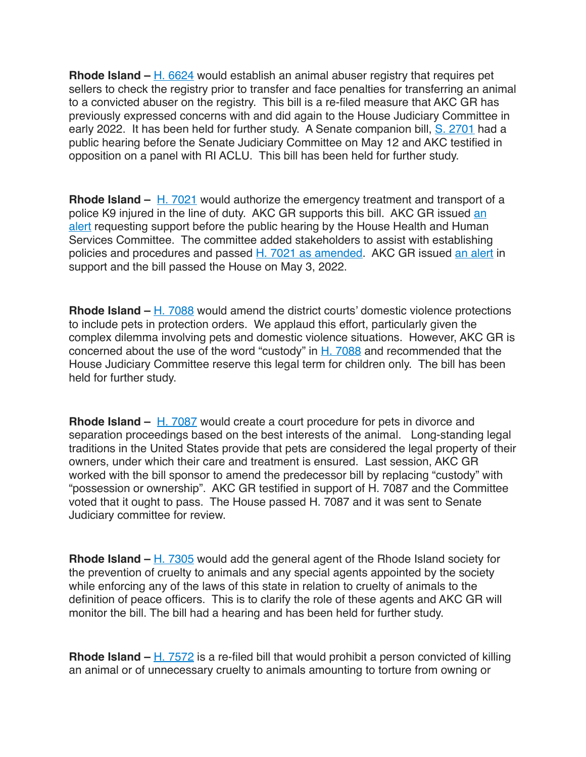**Rhode Island –** [H. 6624](https://s3.amazonaws.com/fn-document-service/file-by-sha384/088435d84cae1e3960baf633591c33a6fd272a795b6dd3a98e6a115e70675690fb6f9cb9c98d8d2ae0a42b1097e00c01) would establish an animal abuser registry that requires pet sellers to check the registry prior to transfer and face penalties for transferring an animal to a convicted abuser on the registry. This bill is a re-filed measure that AKC GR has previously expressed concerns with and did again to the House Judiciary Committee in early 2022. It has been held for further study. A Senate companion bill, [S. 2701](https://s3.amazonaws.com/fn-document-service/file-by-sha384/426c3c74e63e69b755378897feaa736b4b978a8b28957b3b2097d0af8aafb3984a2634cd6d7bdae2a2275007f785e593) had a public hearing before the Senate Judiciary Committee on May 12 and AKC testified in opposition on a panel with RI ACLU. This bill has been held for further study.

**Rhode Island –** [H. 7021](https://s3.amazonaws.com/fn-document-service/file-by-sha384/df8a524f8154aabf59c884ff52a5586cf22b63bce4585fad01b0167453b0dbc31edb9aba665714c5ce62d29264c25081) would authorize the emergency treatment and transport of a police K9 injured in the line of duty. AKC GR supports this bill. AKC GR issued an [alert](https://www.akc.org/legislative-alerts/ri-alert-act-now-protect-police-k9s-public-hearing-scheduled-february-3-2022/) requesting support before the public hearing by the House Health and Human Services Committee. The committee added stakeholders to assist with establishing policies and procedures and passed [H. 7021 as amended.](http://webserver.rilin.state.ri.us/BillText/BillText22/Proposed22/H7021A.pdf) AKC GR issued [an alert](https://www.akc.org/legislative-alerts/ri-update-bill-protecting-police-k9s-released-favorably-committee/) in support and the bill passed the House on May 3, 2022.

**Rhode Island –** [H. 7088](https://s3.amazonaws.com/fn-document-service/file-by-sha384/d5b10e2a83bcdd05bb737141784e9a4199b962be83aa2c50d8890143e300b37dc3f15a8b4d10b8f8fc397888f36b4893) would amend the district courts' domestic violence protections to include pets in protection orders. We applaud this effort, particularly given the complex dilemma involving pets and domestic violence situations. However, AKC GR is concerned about the use of the word "custody" in  $H. 7088$  and recommended that the House Judiciary Committee reserve this legal term for children only. The bill has been held for further study.

**Rhode Island –** [H. 7087](https://s3.amazonaws.com/fn-document-service/file-by-sha384/24a1f03743de02a2c86d78324c5c3f3530d8d960944bb151618c90032cdb66bb03b1f68f653126b26d6eb75337930363) would create a court procedure for pets in divorce and separation proceedings based on the best interests of the animal. Long-standing legal traditions in the United States provide that pets are considered the legal property of their owners, under which their care and treatment is ensured. Last session, AKC GR worked with the bill sponsor to amend the predecessor bill by replacing "custody" with "possession or ownership". AKC GR testified in support of H. 7087 and the Committee voted that it ought to pass. The House passed H. 7087 and it was sent to Senate Judiciary committee for review.

**Rhode Island –** [H. 7305](https://s3.amazonaws.com/fn-document-service/file-by-sha384/c0d79569a636e95ad40ddfeffea5da7a9f09c10f525cda90a50ca916f1fcf188f5363744f2171e14346e6a98c9d9043f) would add the general agent of the Rhode Island society for the prevention of cruelty to animals and any special agents appointed by the society while enforcing any of the laws of this state in relation to cruelty of animals to the definition of peace officers. This is to clarify the role of these agents and AKC GR will monitor the bill. The bill had a hearing and has been held for further study.

**Rhode Island** – [H. 7572](https://s3.amazonaws.com/fn-document-service/file-by-sha384/4db48e09a2f7a6724ff85f1e51ff362df5482d57d3cd6370187d082307a277a3dd3aa3a750988b82d7b7e91eaea41f14) is a re-filed bill that would prohibit a person convicted of killing an animal or of unnecessary cruelty to animals amounting to torture from owning or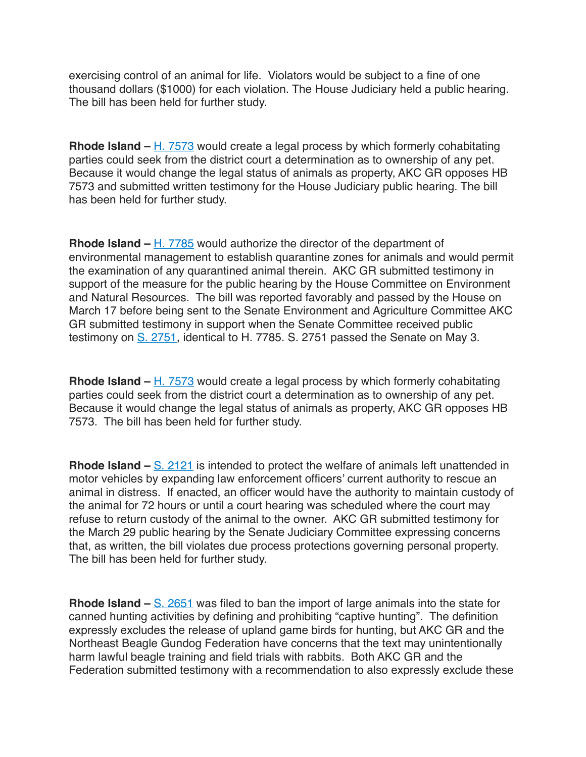exercising control of an animal for life. Violators would be subject to a fine of one thousand dollars (\$1000) for each violation. The House Judiciary held a public hearing. The bill has been held for further study.

**Rhode Island –** [H. 7573](https://s3.amazonaws.com/fn-document-service/file-by-sha384/0286d1d9d31a589c1b5aa1c605de4f48199c010eac922aa54dc306c0fc3a9821fe318cba141cd956bfcf73b760dc47d7) would create a legal process by which formerly cohabitating parties could seek from the district court a determination as to ownership of any pet. Because it would change the legal status of animals as property, AKC GR opposes HB 7573 and submitted written testimony for the House Judiciary public hearing. The bill has been held for further study.

**Rhode Island –** [H. 7785](https://s3.amazonaws.com/fn-document-service/file-by-sha384/868cee266e8405eb68ab86d16fa1d11669d4cc09a3dcab30b8edcb2e324269aa6c8f048d2431b1efe161aa693aad2bdb) would authorize the director of the department of environmental management to establish quarantine zones for animals and would permit the examination of any quarantined animal therein. AKC GR submitted testimony in support of the measure for the public hearing by the House Committee on Environment and Natural Resources. The bill was reported favorably and passed by the House on March 17 before being sent to the Senate Environment and Agriculture Committee AKC GR submitted testimony in support when the Senate Committee received public testimony on [S. 2751,](https://s3.amazonaws.com/fn-document-service/file-by-sha384/5c6c230a9cbf0fe0d235c4613f48ee029c00a28e897e3379f12158a2cd1e725fe11731459136abb284c9e044c4bebf1a) identical to H. 7785. S. 2751 passed the Senate on May 3.

**Rhode Island –** [H. 7573](https://s3.amazonaws.com/fn-document-service/file-by-sha384/0286d1d9d31a589c1b5aa1c605de4f48199c010eac922aa54dc306c0fc3a9821fe318cba141cd956bfcf73b760dc47d7) would create a legal process by which formerly cohabitating parties could seek from the district court a determination as to ownership of any pet. Because it would change the legal status of animals as property, AKC GR opposes HB 7573. The bill has been held for further study.

**Rhode Island** – <u>[S. 2121](https://s3.amazonaws.com/fn-document-service/file-by-sha384/cb425270c989d35f5a06c569b8935495b3bc7175a262d8055c5b0dc255a2ed8c2c326265a32d5e5409bff8f18126cb7b)</u> is intended to protect the welfare of animals left unattended in motor vehicles by expanding law enforcement officers' current authority to rescue an animal in distress. If enacted, an officer would have the authority to maintain custody of the animal for 72 hours or until a court hearing was scheduled where the court may refuse to return custody of the animal to the owner. AKC GR submitted testimony for the March 29 public hearing by the Senate Judiciary Committee expressing concerns that, as written, the bill violates due process protections governing personal property. The bill has been held for further study.

**Rhode Island –** [S. 2651](https://s3.amazonaws.com/fn-document-service/file-by-sha384/3daf66641a1d26c5b091d478e835412fe81183542347490479a69af3d11ec725464d54df7d51b35334af8fc64e55d40b) was filed to ban the import of large animals into the state for canned hunting activities by defining and prohibiting "captive hunting". The definition expressly excludes the release of upland game birds for hunting, but AKC GR and the Northeast Beagle Gundog Federation have concerns that the text may unintentionally harm lawful beagle training and field trials with rabbits. Both AKC GR and the Federation submitted testimony with a recommendation to also expressly exclude these